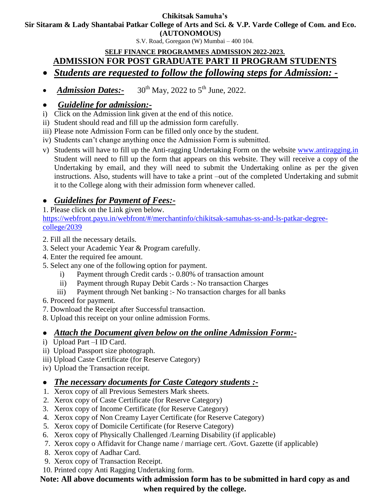#### **Chikitsak Samuha's**

**Sir Sitaram & Lady Shantabai Patkar College of Arts and Sci. & V.P. Varde College of Com. and Eco.**

**(AUTONOMOUS)**

S.V. Road, Goregaon (W) Mumbai – 400 104.

#### **SELF FINANCE PROGRAMMES ADMISSION 2022-2023. ADMISSION FOR POST GRADUATE PART II PROGRAM STUDENTS**

- *Students are requested to follow the following steps for Admission: -*
- *Admission Dates:*  $30^{th}$  May, 2022 to  $5^{th}$  June, 2022.

### *Guideline for admission:-*

- i) Click on the Admission link given at the end of this notice.
- ii) Student should read and fill up the admission form carefully.
- iii) Please note Admission Form can be filled only once by the student.
- iv) Students can't change anything once the Admission Form is submitted.
- v) Students will have to fill up the Anti-ragging Undertaking Form on the website [www.antiragging.in](http://www.antiragging.in/) Student will need to fill up the form that appears on this website. They will receive a copy of the Undertaking by email, and they will need to submit the Undertaking online as per the given instructions. Also, students will have to take a print –out of the completed Undertaking and submit it to the College along with their admission form whenever called.

# *Guidelines for Payment of Fees:-*

1. Please click on the Link given below.

[https://webfront.payu.in/webfront/#/merchantinfo/chikitsak-samuhas-ss-and-ls-patkar-degree](https://webfront.payu.in/webfront/#/merchantinfo/chikitsak-samuhas-ss-and-ls-patkar-degree-   college/2039)[college/2039](https://webfront.payu.in/webfront/#/merchantinfo/chikitsak-samuhas-ss-and-ls-patkar-degree-   college/2039)

- 2. Fill all the necessary details.
- 3. Select your Academic Year & Program carefully.
- 4. Enter the required fee amount.
- 5. Select any one of the following option for payment.
	- i) Payment through Credit cards :- 0.80% of transaction amount
	- ii) Payment through Rupay Debit Cards :- No transaction Charges
	- iii) Payment through Net banking :- No transaction charges for all banks

6. Proceed for payment.

- 7. Download the Receipt after Successful transaction.
- 8. Upload this receipt on your online admission Forms.

## *Attach the Document given below on the online Admission Form:-*

- i) Upload Part –I ID Card.
- ii) Upload Passport size photograph.
- iii) Upload Caste Certificate (for Reserve Category)
- iv) Upload the Transaction receipt.

## *The necessary documents for Caste Category students :-*

- 1. Xerox copy of all Previous Semesters Mark sheets.
- 2. Xerox copy of Caste Certificate (for Reserve Category)
- 3. Xerox copy of Income Certificate (for Reserve Category)
- 4. Xerox copy of Non Creamy Layer Certificate (for Reserve Category)
- 5. Xerox copy of Domicile Certificate (for Reserve Category)
- 6. Xerox copy of Physically Challenged /Learning Disability (if applicable)
- 7. Xerox copy o Affidavit for Change name / marriage cert. /Govt. Gazette (if applicable)
- 8. Xerox copy of Aadhar Card.
- 9. Xerox copy of Transaction Receipt.
- 10. Printed copy Anti Ragging Undertaking form.

### **Note: All above documents with admission form has to be submitted in hard copy as and when required by the college.**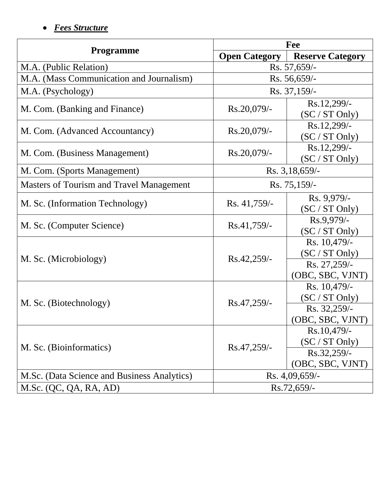# *Fees Structure*

| <b>Programme</b>                                | Fee                  |                                                                    |
|-------------------------------------------------|----------------------|--------------------------------------------------------------------|
|                                                 | <b>Open Category</b> | <b>Reserve Category</b>                                            |
| M.A. (Public Relation)                          | Rs. 57,659/-         |                                                                    |
| M.A. (Mass Communication and Journalism)        | $Rs. 56,659/$ -      |                                                                    |
| M.A. (Psychology)                               | Rs. 37,159/-         |                                                                    |
| M. Com. (Banking and Finance)                   | Rs.20,079/-          | Rs.12,299/-<br>(SC / ST Only)                                      |
| M. Com. (Advanced Accountancy)                  | Rs.20,079/-          | Rs.12,299/-<br>(SC / ST Only)                                      |
| M. Com. (Business Management)                   | Rs.20,079/-          | Rs.12,299/-<br>(SC / ST Only)                                      |
| M. Com. (Sports Management)                     | Rs. 3, 18, 659/-     |                                                                    |
| <b>Masters of Tourism and Travel Management</b> | Rs. 75,159/-         |                                                                    |
| M. Sc. (Information Technology)                 | Rs. 41,759/-         | Rs. 9,979/-<br>(SC / ST Only)                                      |
| M. Sc. (Computer Science)                       | $Rs.41,759/$ -       | Rs.9,979/-<br>(SC / ST Only)                                       |
| M. Sc. (Microbiology)                           | Rs.42,259/-          | Rs. 10,479/-<br>(SC / ST Only)<br>Rs. 27,259/-<br>(OBC, SBC, VJNT) |
| M. Sc. (Biotechnology)                          | Rs.47,259/-          | Rs. 10,479/-<br>(SC / ST Only)<br>Rs. 32,259/-<br>(OBC, SBC, VJNT) |
| M. Sc. (Bioinformatics)                         | Rs.47,259/-          | Rs.10,479/-<br>(SC / ST Only)<br>Rs.32,259/-<br>(OBC, SBC, VJNT)   |
| M.Sc. (Data Science and Business Analytics)     | Rs. 4,09,659/-       |                                                                    |
| M.Sc. (QC, QA, RA, AD)                          | Rs.72,659/-          |                                                                    |